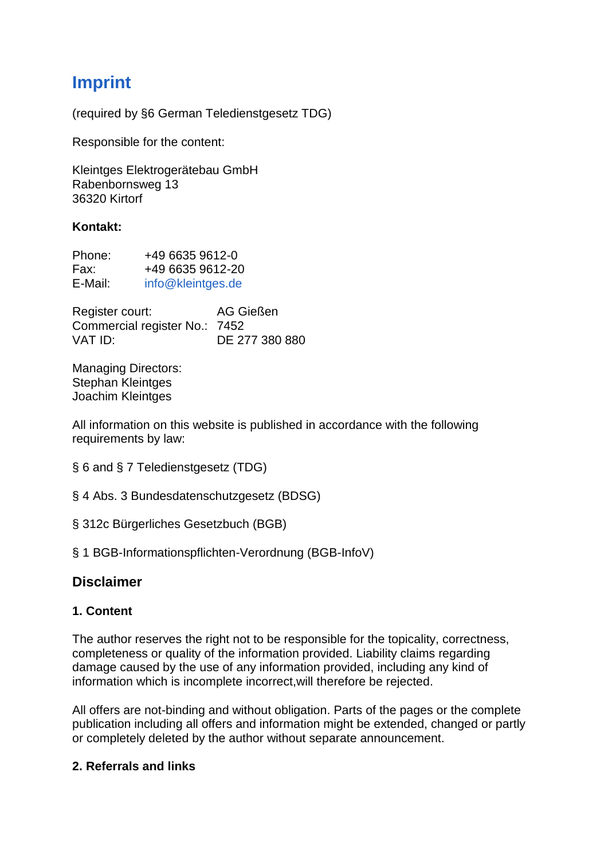# **Imprint**

(required by §6 German Teledienstgesetz TDG)

Responsible for the content:

Kleintges Elektrogerätebau GmbH Rabenbornsweg 13 36320 Kirtorf

#### **Kontakt:**

| Phone:  | +49 6635 9612-0   |
|---------|-------------------|
| Fax:    | +49 6635 9612-20  |
| E-Mail: | info@kleintges.de |

Register court: AG Gießen Commercial register No.: 7452 VAT ID: DE 277 380 880

Managing Directors: Stephan Kleintges Joachim Kleintges

All information on this website is published in accordance with the following requirements by law:

§ 6 and § 7 Teledienstgesetz (TDG)

- § 4 Abs. 3 Bundesdatenschutzgesetz (BDSG)
- § 312c Bürgerliches Gesetzbuch (BGB)

§ 1 BGB-Informationspflichten-Verordnung (BGB-InfoV)

# **Disclaimer**

## **1. Content**

The author reserves the right not to be responsible for the topicality, correctness, completeness or quality of the information provided. Liability claims regarding damage caused by the use of any information provided, including any kind of information which is incomplete incorrect,will therefore be rejected.

All offers are not-binding and without obligation. Parts of the pages or the complete publication including all offers and information might be extended, changed or partly or completely deleted by the author without separate announcement.

#### **2. Referrals and links**